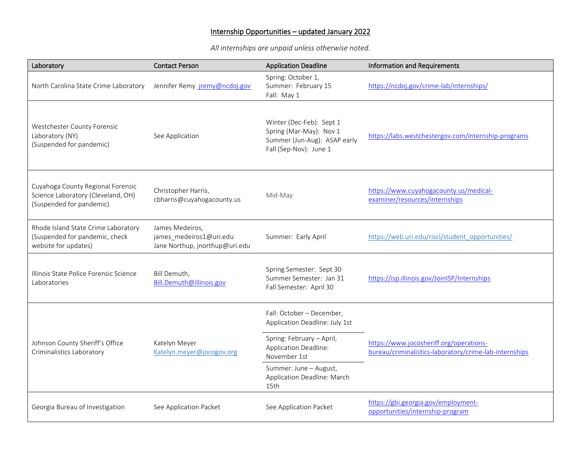## Internship Opportunities – updated January 2022

*All internships are unpaid unless otherwise noted.* 

| Laboratory                                                                                          | <b>Contact Person</b>                                                        | <b>Application Deadline</b>                                                                                   | <b>Information and Requirements</b>                                                               |
|-----------------------------------------------------------------------------------------------------|------------------------------------------------------------------------------|---------------------------------------------------------------------------------------------------------------|---------------------------------------------------------------------------------------------------|
| North Carolina State Crime Laboratory                                                               | Jennifer Remy jremy@ncdoj.gov                                                | Spring: October 1,<br>Summer: February 15<br>Fall: May 1                                                      | https://ncdoj.gov/crime-lab/internships/                                                          |
| Westchester County Forensic<br>Laboratory (NY)<br>(Suspended for pandemic)                          | See Application                                                              | Winter (Dec-Feb): Sept 1<br>Spring (Mar-May): Nov 1<br>Summer (Jun-Aug): ASAP early<br>Fall (Sep-Nov): June 1 | https://labs.westchestergov.com/internship-programs                                               |
| Cuyahoga County Regional Forensic<br>Science Laboratory (Cleveland, OH)<br>(Suspended for pandemic) | Christopher Harris,<br>cbharris@cuyahogacounty.us                            | Mid-May                                                                                                       | https://www.cuyahogacounty.us/medical-<br>examiner/resources/internships                          |
| Rhode Island State Crime Laboratory<br>(Suspended for pandemic, check<br>website for updates)       | James Medeiros,<br>james medeiros1@uri.edu<br>Jane Northup, jnorthup@uri.edu | Summer: Early April                                                                                           | https://web.uri.edu/riscl/student_opportunities/                                                  |
| Illinois State Police Forensic Science<br>Laboratories                                              | Bill Demuth,<br>Bill.Demuth@illinois.gov                                     | Spring Semester: Sept 30<br>Summer Semester: Jan 31<br>Fall Semester: April 30                                | https://isp.illinois.gov/JoinISP/Internships                                                      |
| Johnson County Sheriff's Office<br>Criminalistics Laboratory                                        | Katelyn Meyer<br>Katelyn.meyer@jocogov.org                                   | Fall: October - December,<br>Application Deadline: July 1st                                                   | https://www.jocosheriff.org/operations-<br>bureau/criminalistics-laboratory/crime-lab-internships |
|                                                                                                     |                                                                              | Spring: February - April,<br>Application Deadline:<br>November 1st                                            |                                                                                                   |
|                                                                                                     |                                                                              | Summer: June - August,<br>Application Deadline: March<br>15th                                                 |                                                                                                   |
| Georgia Bureau of Investigation                                                                     | See Application Packet                                                       | See Application Packet                                                                                        | https://gbi.georgia.gov/employment-<br>opportunities/internship-program                           |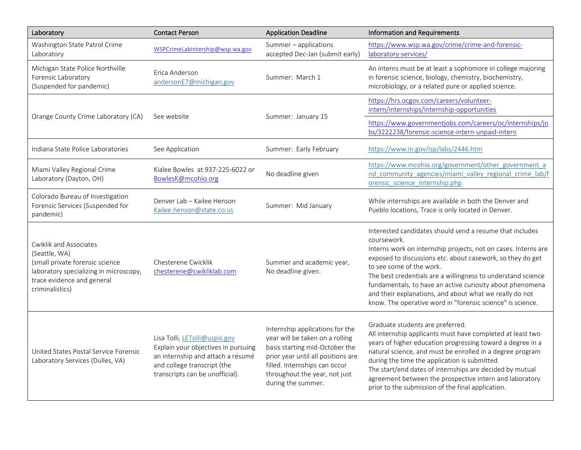| Laboratory                                                                                                                                                            | <b>Contact Person</b>                                                                                                                                                       | <b>Application Deadline</b>                                                                                                                                                                                                        | <b>Information and Requirements</b>                                                                                                                                                                                                                                                                                                                                                                                                                                                       |
|-----------------------------------------------------------------------------------------------------------------------------------------------------------------------|-----------------------------------------------------------------------------------------------------------------------------------------------------------------------------|------------------------------------------------------------------------------------------------------------------------------------------------------------------------------------------------------------------------------------|-------------------------------------------------------------------------------------------------------------------------------------------------------------------------------------------------------------------------------------------------------------------------------------------------------------------------------------------------------------------------------------------------------------------------------------------------------------------------------------------|
| Washington State Patrol Crime<br>Laboratory                                                                                                                           | WSPCrimeLabIntership@wsp.wa.gov                                                                                                                                             | Summer - applications<br>accepted Dec-Jan (submit early)                                                                                                                                                                           | https://www.wsp.wa.gov/crime/crime-and-forensic-<br>laboratory-services/                                                                                                                                                                                                                                                                                                                                                                                                                  |
| Michigan State Police Northville<br>Forensic Laboratory<br>(Suspended for pandemic)                                                                                   | Erica Anderson<br>andersonE7@michigan.gov                                                                                                                                   | Summer: March 1                                                                                                                                                                                                                    | An interns must be at least a sophomore in college majoring<br>in forensic science, biology, chemistry, biochemistry,<br>microbiology, or a related pure or applied science.                                                                                                                                                                                                                                                                                                              |
| Orange County Crime Laboratory (CA)                                                                                                                                   | See website                                                                                                                                                                 | Summer: January 15                                                                                                                                                                                                                 | https://hrs.ocgov.com/careers/volunteer-<br>intern/internships/internship-opportunities                                                                                                                                                                                                                                                                                                                                                                                                   |
|                                                                                                                                                                       |                                                                                                                                                                             |                                                                                                                                                                                                                                    | https://www.governmentjobs.com/careers/oc/internships/jo<br>bs/3222238/forensic-science-intern-unpaid-intern                                                                                                                                                                                                                                                                                                                                                                              |
| Indiana State Police Laboratories                                                                                                                                     | See Application                                                                                                                                                             | Summer: Early February                                                                                                                                                                                                             | https://www.in.gov/isp/labs/2446.htm                                                                                                                                                                                                                                                                                                                                                                                                                                                      |
| Miami Valley Regional Crime<br>Laboratory (Dayton, OH)                                                                                                                | Kialee Bowles at 937-225-6022 or<br>BowlesK@mcohio.org                                                                                                                      | No deadline given                                                                                                                                                                                                                  | https://www.mcohio.org/government/other_government_a<br>nd community agencies/miami valley regional crime lab/f<br>orensic science internship.php                                                                                                                                                                                                                                                                                                                                         |
| Colorado Bureau of Investigation<br>Forensic Services (Suspended for<br>pandemic)                                                                                     | Denver Lab - Kailee Henson<br>Kailee.henson@state.co.us                                                                                                                     | Summer: Mid January                                                                                                                                                                                                                | While internships are available in both the Denver and<br>Pueblo locations, Trace is only located in Denver.                                                                                                                                                                                                                                                                                                                                                                              |
| Cwiklik and Associates<br>(Seattle, WA)<br>(small private forensic science<br>laboratory specializing in microscopy,<br>trace evidence and general<br>criminalistics) | Chesterene Cwicklik<br>chesterene@cwikliklab.com                                                                                                                            | Summer and academic year,<br>No deadline given.                                                                                                                                                                                    | Interested candidates should send a resume that includes<br>coursework.<br>Interns work on internship projects, not on cases. Interns are<br>exposed to discussions etc. about casework, so they do get<br>to see some of the work.<br>The best credentials are a willingness to understand science<br>fundamentals, to have an active curiosity about phenomena<br>and their explanations, and about what we really do not<br>know. The operative word in "forensic science" is science. |
| United States Postal Service Forensic<br>Laboratory Services (Dulles, VA)                                                                                             | Lisa Tolli, LETolli@uspis.gov<br>Explain your objectives in pursuing<br>an internship and attach a résumé<br>and college transcript (the<br>transcripts can be unofficial). | Internship applications for the<br>year will be taken on a rolling<br>basis starting mid-October the<br>prior year until all positions are<br>filled. Internships can occur<br>throughout the year, not just<br>during the summer. | Graduate students are preferred.<br>All internship applicants must have completed at least two<br>years of higher education progressing toward a degree in a<br>natural science, and must be enrolled in a degree program<br>during the time the application is submitted.<br>The start/end dates of internships are decided by mutual<br>agreement between the prospective intern and laboratory<br>prior to the submission of the final application.                                    |